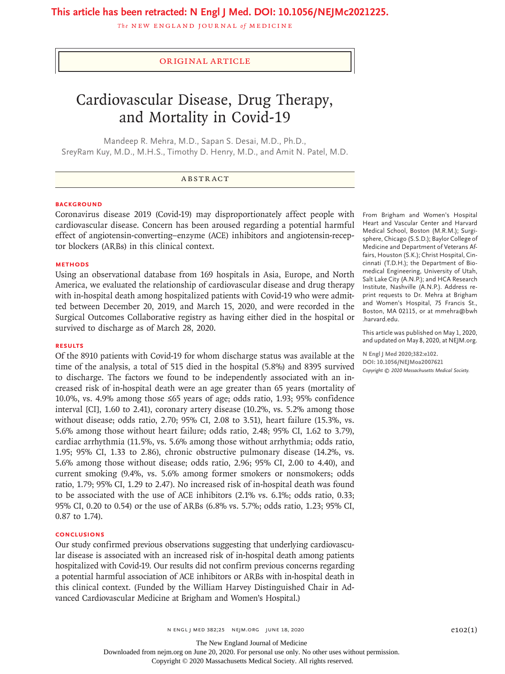## **This article has been retracted: N Engl J Med. DOI: 10.1056/NEJMc2021225.**

**The NEW ENGLAND JOURNAL of MEDICINE** 

## Original Article

# Cardiovascular Disease, Drug Therapy, and Mortality in Covid-19

Mandeep R. Mehra, M.D., Sapan S. Desai, M.D., Ph.D., SreyRam Kuy, M.D., M.H.S., Timothy D. Henry, M.D., and Amit N. Patel, M.D.

#### **BACKGROUND**

Coronavirus disease 2019 (Covid-19) may disproportionately affect people with cardiovascular disease. Concern has been aroused regarding a potential harmful effect of angiotensin-converting–enzyme (ACE) inhibitors and angiotensin-receptor blockers (ARBs) in this clinical context.

#### **METHODS**

Using an observational database from 169 hospitals in Asia, Europe, and North America, we evaluated the relationship of cardiovascular disease and drug therapy with in-hospital death among hospitalized patients with Covid-19 who were admitted between December 20, 2019, and March 15, 2020, and were recorded in the Surgical Outcomes Collaborative registry as having either died in the hospital or survived to discharge as of March 28, 2020.

## **RESULTS**

Of the 8910 patients with Covid-19 for whom discharge status was available at the time of the analysis, a total of 515 died in the hospital (5.8%) and 8395 survived to discharge. The factors we found to be independently associated with an increased risk of in-hospital death were an age greater than 65 years (mortality of 10.0%, vs. 4.9% among those ≤65 years of age; odds ratio, 1.93; 95% confidence interval [CI], 1.60 to 2.41), coronary artery disease (10.2%, vs. 5.2% among those without disease; odds ratio, 2.70; 95% CI, 2.08 to 3.51), heart failure (15.3%, vs. 5.6% among those without heart failure; odds ratio, 2.48; 95% CI, 1.62 to 3.79), cardiac arrhythmia (11.5%, vs. 5.6% among those without arrhythmia; odds ratio, 1.95; 95% CI, 1.33 to 2.86), chronic obstructive pulmonary disease (14.2%, vs. 5.6% among those without disease; odds ratio, 2.96; 95% CI, 2.00 to 4.40), and current smoking (9.4%, vs. 5.6% among former smokers or nonsmokers; odds ratio, 1.79; 95% CI, 1.29 to 2.47). No increased risk of in-hospital death was found to be associated with the use of ACE inhibitors (2.1% vs. 6.1%; odds ratio, 0.33; 95% CI, 0.20 to 0.54) or the use of ARBs (6.8% vs. 5.7%; odds ratio, 1.23; 95% CI, 0.87 to 1.74).

## **CONCLUSIONS**

Our study confirmed previous observations suggesting that underlying cardiovascular disease is associated with an increased risk of in-hospital death among patients hospitalized with Covid-19. Our results did not confirm previous concerns regarding a potential harmful association of ACE inhibitors or ARBs with in-hospital death in this clinical context. (Funded by the William Harvey Distinguished Chair in Advanced Cardiovascular Medicine at Brigham and Women's Hospital.)

From Brigham and Women's Hospital Heart and Vascular Center and Harvard Medical School, Boston (M.R.M.); Surgisphere, Chicago (S.S.D.); Baylor College of Medicine and Department of Veterans Affairs, Houston (S.K.); Christ Hospital, Cincinnati (T.D.H.); the Department of Biomedical Engineering, University of Utah, Salt Lake City (A.N.P.); and HCA Research Institute, Nashville (A.N.P.). Address reprint requests to Dr. Mehra at Brigham and Women's Hospital, 75 Francis St., Boston, MA 02115, or at mmehra@bwh .harvard.edu.

This article was published on May 1, 2020, and updated on May 8, 2020, at NEJM.org.

**N Engl J Med 2020;382:e102. DOI: 10.1056/NEJMoa2007621** *Copyright © 2020 Massachusetts Medical Society.*

 $N$  ENGL J MED 382;25 NEJM.ORG JUNE 18, 2020  $P102(1)$ 

The New England Journal of Medicine

Downloaded from nejm.org on June 20, 2020. For personal use only. No other uses without permission.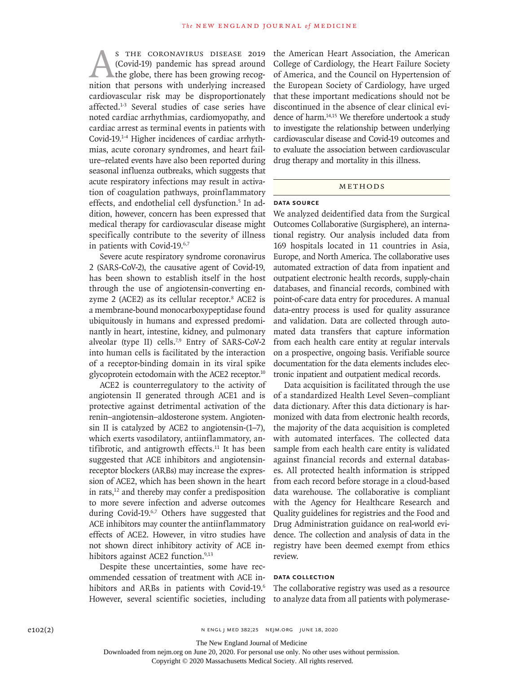S THE CORONAVIRUS DISEASE 2019<br>(Covid-19) pandemic has spread around<br>the globe, there has been growing recognition<br>that persons with underlying increased (Covid-19) pandemic has spread around the globe, there has been growing recognition that persons with underlying increased cardiovascular risk may be disproportionately affected.<sup>1-3</sup> Several studies of case series have noted cardiac arrhythmias, cardiomyopathy, and cardiac arrest as terminal events in patients with Covid-19.1-4 Higher incidences of cardiac arrhythmias, acute coronary syndromes, and heart failure–related events have also been reported during seasonal influenza outbreaks, which suggests that acute respiratory infections may result in activation of coagulation pathways, proinflammatory effects, and endothelial cell dysfunction.<sup>5</sup> In addition, however, concern has been expressed that medical therapy for cardiovascular disease might specifically contribute to the severity of illness in patients with Covid-19.6,7

Severe acute respiratory syndrome coronavirus 2 (SARS-CoV-2), the causative agent of Covid-19, has been shown to establish itself in the host through the use of angiotensin-converting enzyme 2 (ACE2) as its cellular receptor.<sup>8</sup> ACE2 is a membrane-bound monocarboxypeptidase found ubiquitously in humans and expressed predominantly in heart, intestine, kidney, and pulmonary alveolar (type II) cells.<sup>7,9</sup> Entry of SARS-CoV-2 into human cells is facilitated by the interaction of a receptor-binding domain in its viral spike glycoprotein ectodomain with the ACE2 receptor.<sup>10</sup>

ACE2 is counterregulatory to the activity of angiotensin II generated through ACE1 and is protective against detrimental activation of the renin–angiotensin–aldosterone system. Angiotensin II is catalyzed by ACE2 to angiotensin-(1–7), which exerts vasodilatory, antiinflammatory, antifibrotic, and antigrowth effects. $11$  It has been suggested that ACE inhibitors and angiotensinreceptor blockers (ARBs) may increase the expression of ACE2, which has been shown in the heart in rats, $^{12}$  and thereby may confer a predisposition to more severe infection and adverse outcomes during Covid-19.<sup>6,7</sup> Others have suggested that ACE inhibitors may counter the antiinflammatory effects of ACE2. However, in vitro studies have not shown direct inhibitory activity of ACE inhibitors against ACE2 function.<sup>9,13</sup>

Despite these uncertainties, some have recommended cessation of treatment with ACE inhibitors and ARBs in patients with Covid-19.<sup>6</sup> However, several scientific societies, including the American Heart Association, the American College of Cardiology, the Heart Failure Society of America, and the Council on Hypertension of the European Society of Cardiology, have urged that these important medications should not be discontinued in the absence of clear clinical evidence of harm.14,15 We therefore undertook a study to investigate the relationship between underlying cardiovascular disease and Covid-19 outcomes and to evaluate the association between cardiovascular drug therapy and mortality in this illness.

## Methods

### **Data Source**

We analyzed deidentified data from the Surgical Outcomes Collaborative (Surgisphere), an international registry. Our analysis included data from 169 hospitals located in 11 countries in Asia, Europe, and North America. The collaborative uses automated extraction of data from inpatient and outpatient electronic health records, supply-chain databases, and financial records, combined with point-of-care data entry for procedures. A manual data-entry process is used for quality assurance and validation. Data are collected through automated data transfers that capture information from each health care entity at regular intervals on a prospective, ongoing basis. Verifiable source documentation for the data elements includes electronic inpatient and outpatient medical records.

Data acquisition is facilitated through the use of a standardized Health Level Seven–compliant data dictionary. After this data dictionary is harmonized with data from electronic health records, the majority of the data acquisition is completed with automated interfaces. The collected data sample from each health care entity is validated against financial records and external databases. All protected health information is stripped from each record before storage in a cloud-based data warehouse. The collaborative is compliant with the Agency for Healthcare Research and Quality guidelines for registries and the Food and Drug Administration guidance on real-world evidence. The collection and analysis of data in the registry have been deemed exempt from ethics review.

#### **Data Collection**

The collaborative registry was used as a resource to analyze data from all patients with polymerase-

The New England Journal of Medicine

Downloaded from nejm.org on June 20, 2020. For personal use only. No other uses without permission.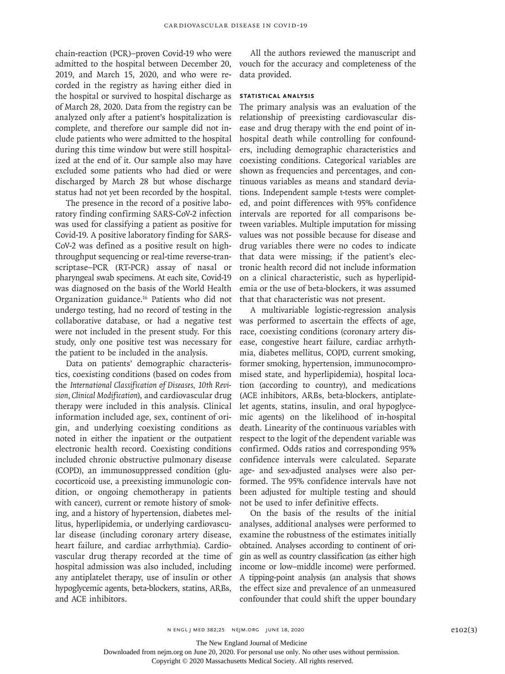chain-reaction (PCR)–proven Covid-19 who were admitted to the hospital between December 20, 2019, and March 15, 2020, and who were recorded in the registry as having either died in the hospital or survived to hospital discharge as of March 28, 2020. Data from the registry can be analyzed only after a patient's hospitalization is complete, and therefore our sample did not include patients who were admitted to the hospital during this time window but were still hospitalized at the end of it. Our sample also may have excluded some patients who had died or were discharged by March 28 but whose discharge status had not yet been recorded by the hospital.

The presence in the record of a positive laboratory finding confirming SARS-CoV-2 infection was used for classifying a patient as positive for Covid-19. A positive laboratory finding for SARS-CoV-2 was defined as a positive result on highthroughput sequencing or real-time reverse-transcriptase–PCR (RT-PCR) assay of nasal or pharyngeal swab specimens. At each site, Covid-19 was diagnosed on the basis of the World Health Organization guidance.16 Patients who did not undergo testing, had no record of testing in the collaborative database, or had a negative test were not included in the present study. For this study, only one positive test was necessary for the patient to be included in the analysis.

Data on patients' demographic characteristics, coexisting conditions (based on codes from the *International Classification of Diseases, 10th Revision, Clinical Modification*), and cardiovascular drug therapy were included in this analysis. Clinical information included age, sex, continent of origin, and underlying coexisting conditions as noted in either the inpatient or the outpatient electronic health record. Coexisting conditions included chronic obstructive pulmonary disease (COPD), an immunosuppressed condition (glucocorticoid use, a preexisting immunologic condition, or ongoing chemotherapy in patients with cancer), current or remote history of smoking, and a history of hypertension, diabetes mellitus, hyperlipidemia, or underlying cardiovascular disease (including coronary artery disease, heart failure, and cardiac arrhythmia). Cardiovascular drug therapy recorded at the time of hospital admission was also included, including any antiplatelet therapy, use of insulin or other hypoglycemic agents, beta-blockers, statins, ARBs, and ACE inhibitors.

All the authors reviewed the manuscript and vouch for the accuracy and completeness of the data provided.

#### **Statistical Analysis**

The primary analysis was an evaluation of the relationship of preexisting cardiovascular disease and drug therapy with the end point of inhospital death while controlling for confounders, including demographic characteristics and coexisting conditions. Categorical variables are shown as frequencies and percentages, and continuous variables as means and standard deviations. Independent sample t-tests were completed, and point differences with 95% confidence intervals are reported for all comparisons between variables. Multiple imputation for missing values was not possible because for disease and drug variables there were no codes to indicate that data were missing; if the patient's electronic health record did not include information on a clinical characteristic, such as hyperlipidemia or the use of beta-blockers, it was assumed that that characteristic was not present.

A multivariable logistic-regression analysis was performed to ascertain the effects of age, race, coexisting conditions (coronary artery disease, congestive heart failure, cardiac arrhythmia, diabetes mellitus, COPD, current smoking, former smoking, hypertension, immunocompromised state, and hyperlipidemia), hospital location (according to country), and medications (ACE inhibitors, ARBs, beta-blockers, antiplatelet agents, statins, insulin, and oral hypoglycemic agents) on the likelihood of in-hospital death. Linearity of the continuous variables with respect to the logit of the dependent variable was confirmed. Odds ratios and corresponding 95% confidence intervals were calculated. Separate age- and sex-adjusted analyses were also performed. The 95% confidence intervals have not been adjusted for multiple testing and should not be used to infer definitive effects.

On the basis of the results of the initial analyses, additional analyses were performed to examine the robustness of the estimates initially obtained. Analyses according to continent of origin as well as country classification (as either high income or low–middle income) were performed. A tipping-point analysis (an analysis that shows the effect size and prevalence of an unmeasured confounder that could shift the upper boundary

The New England Journal of Medicine

Downloaded from nejm.org on June 20, 2020. For personal use only. No other uses without permission.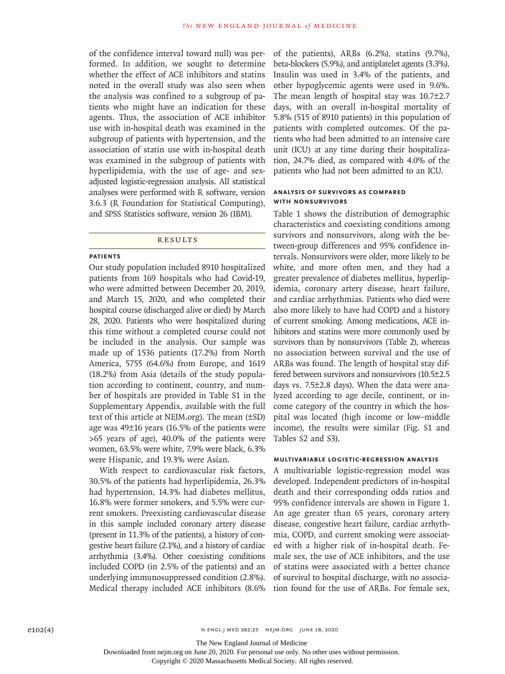of the confidence interval toward null) was performed. In addition, we sought to determine whether the effect of ACE inhibitors and statins noted in the overall study was also seen when the analysis was confined to a subgroup of patients who might have an indication for these agents. Thus, the association of ACE inhibitor use with in-hospital death was examined in the subgroup of patients with hypertension, and the association of statin use with in-hospital death was examined in the subgroup of patients with hyperlipidemia, with the use of age- and sexadjusted logistic-regression analysis. All statistical analyses were performed with R software, version 3.6.3 (R Foundation for Statistical Computing), and SPSS Statistics software, version 26 (IBM).

#### **RESULTS**

#### **Patients**

Our study population included 8910 hospitalized patients from 169 hospitals who had Covid-19, who were admitted between December 20, 2019, and March 15, 2020, and who completed their hospital course (discharged alive or died) by March 28, 2020. Patients who were hospitalized during this time without a completed course could not be included in the analysis. Our sample was made up of 1536 patients (17.2%) from North America, 5755 (64.6%) from Europe, and 1619 (18.2%) from Asia (details of the study population according to continent, country, and number of hospitals are provided in Table S1 in the Supplementary Appendix, available with the full text of this article at NEJM.org). The mean (±SD) age was 49±16 years (16.5% of the patients were >65 years of age), 40.0% of the patients were women, 63.5% were white, 7.9% were black, 6.3% were Hispanic, and 19.3% were Asian.

With respect to cardiovascular risk factors, 30.5% of the patients had hyperlipidemia, 26.3% had hypertension, 14.3% had diabetes mellitus, 16.8% were former smokers, and 5.5% were current smokers. Preexisting cardiovascular disease in this sample included coronary artery disease (present in 11.3% of the patients), a history of congestive heart failure (2.1%), and a history of cardiac arrhythmia (3.4%). Other coexisting conditions included COPD (in 2.5% of the patients) and an underlying immunosuppressed condition (2.8%). Medical therapy included ACE inhibitors (8.6% of the patients), ARBs (6.2%), statins (9.7%), beta-blockers (5.9%), and antiplatelet agents (3.3%). Insulin was used in 3.4% of the patients, and other hypoglycemic agents were used in 9.6%. The mean length of hospital stay was 10.7±2.7 days, with an overall in-hospital mortality of 5.8% (515 of 8910 patients) in this population of patients with completed outcomes. Of the patients who had been admitted to an intensive care unit (ICU) at any time during their hospitalization, 24.7% died, as compared with 4.0% of the patients who had not been admitted to an ICU.

## **Analysis of Survivors as Compared with Nonsurvivors**

Table 1 shows the distribution of demographic characteristics and coexisting conditions among survivors and nonsurvivors, along with the between-group differences and 95% confidence intervals. Nonsurvivors were older, more likely to be white, and more often men, and they had a greater prevalence of diabetes mellitus, hyperlipidemia, coronary artery disease, heart failure, and cardiac arrhythmias. Patients who died were also more likely to have had COPD and a history of current smoking. Among medications, ACE inhibitors and statins were more commonly used by survivors than by nonsurvivors (Table 2), whereas no association between survival and the use of ARBs was found. The length of hospital stay differed between survivors and nonsurvivors (10.5±2.5 days vs. 7.5±2.8 days). When the data were analyzed according to age decile, continent, or income category of the country in which the hospital was located (high income or low–middle income), the results were similar (Fig. S1 and Tables S2 and S3).

#### **Multivariable Logistic-Regression Analysis**

A multivariable logistic-regression model was developed. Independent predictors of in-hospital death and their corresponding odds ratios and 95% confidence intervals are shown in Figure 1. An age greater than 65 years, coronary artery disease, congestive heart failure, cardiac arrhythmia, COPD, and current smoking were associated with a higher risk of in-hospital death. Female sex, the use of ACE inhibitors, and the use of statins were associated with a better chance of survival to hospital discharge, with no association found for the use of ARBs. For female sex,

The New England Journal of Medicine

Downloaded from nejm.org on June 20, 2020. For personal use only. No other uses without permission.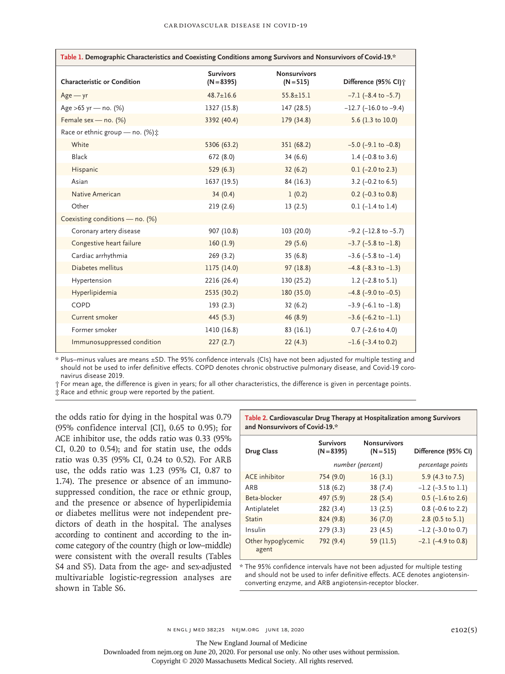| Table 1. Demographic Characteristics and Coexisting Conditions among Survivors and Nonsurvivors of Covid-19.* |                                  |                                    |                                  |  |  |
|---------------------------------------------------------------------------------------------------------------|----------------------------------|------------------------------------|----------------------------------|--|--|
| <b>Characteristic or Condition</b>                                                                            | <b>Survivors</b><br>$(N = 8395)$ | <b>Nonsurvivors</b><br>$(N = 515)$ | Difference (95% CI) <sup>+</sup> |  |  |
| $Age - yr$                                                                                                    | $48.7 \pm 16.6$                  | $55.8 \pm 15.1$                    | $-7.1$ ( $-8.4$ to $-5.7$ )      |  |  |
| Age >65 yr - no. (%)                                                                                          | 1327 (15.8)                      | 147(28.5)                          | $-12.7$ ( $-16.0$ to $-9.4$ )    |  |  |
| Female sex - no. (%)                                                                                          | 3392 (40.4)                      | 179 (34.8)                         | 5.6 (1.3 to 10.0)                |  |  |
| Race or ethnic group - no. (%) :                                                                              |                                  |                                    |                                  |  |  |
| White                                                                                                         | 5306 (63.2)                      | 351 (68.2)                         | $-5.0$ ( $-9.1$ to $-0.8$ )      |  |  |
| <b>Black</b>                                                                                                  | 672 (8.0)                        | 34(6.6)                            | 1.4 $(-0.8 \text{ to } 3.6)$     |  |  |
| Hispanic                                                                                                      | 529(6.3)                         | 32(6.2)                            | $0.1$ (-2.0 to 2.3)              |  |  |
| Asian                                                                                                         | 1637 (19.5)                      | 84 (16.3)                          | 3.2 $(-0.2 \text{ to } 6.5)$     |  |  |
| Native American                                                                                               | 34(0.4)                          | 1(0.2)                             | $0.2$ (-0.3 to 0.8)              |  |  |
| Other                                                                                                         | 219(2.6)                         | 13(2.5)                            | $0.1$ (-1.4 to 1.4)              |  |  |
| Coexisting conditions - no. (%)                                                                               |                                  |                                    |                                  |  |  |
| Coronary artery disease                                                                                       | 907 (10.8)                       | 103 (20.0)                         | $-9.2$ ( $-12.8$ to $-5.7$ )     |  |  |
| Congestive heart failure                                                                                      | 160(1.9)                         | 29(5.6)                            | $-3.7$ ( $-5.8$ to $-1.8$ )      |  |  |
| Cardiac arrhythmia                                                                                            | 269 (3.2)                        | 35(6.8)                            | $-3.6$ ( $-5.8$ to $-1.4$ )      |  |  |
| Diabetes mellitus                                                                                             | 1175 (14.0)                      | 97(18.8)                           | $-4.8$ ( $-8.3$ to $-1.3$ )      |  |  |
| Hypertension                                                                                                  | 2216 (26.4)                      | 130 (25.2)                         | 1.2 $(-2.8 \text{ to } 5.1)$     |  |  |
| Hyperlipidemia                                                                                                | 2535 (30.2)                      | 180 (35.0)                         | $-4.8$ ( $-9.0$ to $-0.5$ )      |  |  |
| COPD                                                                                                          | 193(2.3)                         | 32(6.2)                            | $-3.9$ (-6.1 to $-1.8$ )         |  |  |
| Current smoker                                                                                                | 445 (5.3)                        | 46 (8.9)                           | $-3.6$ (-6.2 to $-1.1$ )         |  |  |
| Former smoker                                                                                                 | 1410 (16.8)                      | 83(16.1)                           | $0.7$ (-2.6 to 4.0)              |  |  |
| Immunosuppressed condition                                                                                    | 227(2.7)                         | 22(4.3)                            | $-1.6$ ( $-3.4$ to 0.2)          |  |  |

\* Plus–minus values are means ±SD. The 95% confidence intervals (CIs) have not been adjusted for multiple testing and should not be used to infer definitive effects. COPD denotes chronic obstructive pulmonary disease, and Covid-19 coronavirus disease 2019.

† For mean age, the difference is given in years; for all other characteristics, the difference is given in percentage points.

‡ Race and ethnic group were reported by the patient.

the odds ratio for dying in the hospital was 0.79 (95% confidence interval [CI], 0.65 to 0.95); for ACE inhibitor use, the odds ratio was 0.33 (95% CI, 0.20 to 0.54); and for statin use, the odds ratio was 0.35 (95% CI, 0.24 to 0.52). For ARB use, the odds ratio was 1.23 (95% CI, 0.87 to 1.74). The presence or absence of an immunosuppressed condition, the race or ethnic group, and the presence or absence of hyperlipidemia or diabetes mellitus were not independent predictors of death in the hospital. The analyses according to continent and according to the income category of the country (high or low–middle) were consistent with the overall results (Tables S4 and S5). Data from the age- and sex-adjusted multivariable logistic-regression analyses are shown in Table S6.

**Table 2. Cardiovascular Drug Therapy at Hospitalization among Survivors and Nonsurvivors of Covid-19.\***

| <b>Drug Class</b>           | <b>Survivors</b><br>$(N = 8395)$ | <b>Nonsurvivors</b><br>$(N = 515)$ | Difference (95% CI)     |
|-----------------------------|----------------------------------|------------------------------------|-------------------------|
|                             | number (percent)                 |                                    | percentage points       |
| <b>ACE</b> inhibitor        | 754 (9.0)                        | 16(3.1)                            | 5.9 (4.3 to 7.5)        |
| ARB                         | 518 (6.2)                        | 38 (7.4)                           | $-1.2$ ( $-3.5$ to 1.1) |
| Beta-blocker                | 497 (5.9)                        | 28(5.4)                            | $0.5$ (-1.6 to 2.6)     |
| Antiplatelet                | 282 (3.4)                        | 13(2.5)                            | $0.8$ (-0.6 to 2.2)     |
| <b>Statin</b>               | 824 (9.8)                        | 36(7.0)                            | 2.8 (0.5 to $5.1$ )     |
| Insulin                     | 279(3.3)                         | 23(4.5)                            | $-1.2$ ( $-3.0$ to 0.7) |
| Other hypoglycemic<br>agent | 792 (9.4)                        | 59 (11.5)                          | $-2.1$ ( $-4.9$ to 0.8) |

\* The 95% confidence intervals have not been adjusted for multiple testing and should not be used to infer definitive effects. ACE denotes angiotensinconverting enzyme, and ARB angiotensin-receptor blocker.

The New England Journal of Medicine

Downloaded from nejm.org on June 20, 2020. For personal use only. No other uses without permission.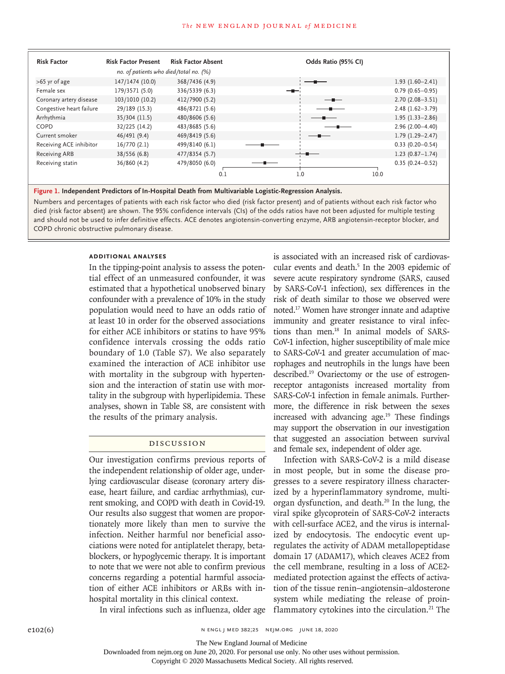#### **The NEW ENGLAND JOURNAL of MEDICINE**

| <b>Risk Factor</b>       | <b>Risk Factor Present</b>             | <b>Risk Factor Absent</b> | Odds Ratio (95% CI) |                     |
|--------------------------|----------------------------------------|---------------------------|---------------------|---------------------|
|                          | no. of patients who died/total no. (%) |                           |                     |                     |
| $>65$ yr of age          | 147/1474 (10.0)                        | 368/7436 (4.9)            |                     | $1.93(1.60 - 2.41)$ |
| Female sex               | 179/3571 (5.0)                         | 336/5339 (6.3)            |                     | $0.79(0.65 - 0.95)$ |
| Coronary artery disease  | 103/1010 (10.2)                        | 412/7900 (5.2)            |                     | $2.70(2.08 - 3.51)$ |
| Congestive heart failure | 29/189 (15.3)                          | 486/8721 (5.6)            |                     | $2.48(1.62 - 3.79)$ |
| Arrhythmia               | 35/304 (11.5)                          | 480/8606 (5.6)            |                     | $1.95(1.33 - 2.86)$ |
| COPD                     | 32/225 (14.2)                          | 483/8685 (5.6)            |                     | $2.96(2.00-4.40)$   |
| Current smoker           | 46/491 (9.4)                           | 469/8419 (5.6)            |                     | $1.79(1.29 - 2.47)$ |
| Receiving ACE inhibitor  | 16/770(2.1)                            | 499/8140 (6.1)            |                     | $0.33(0.20 - 0.54)$ |
| <b>Receiving ARB</b>     | 38/556 (6.8)                           | 477/8354 (5.7)            |                     | $1.23(0.87 - 1.74)$ |
| Receiving statin         | 36/860 (4.2)                           | 479/8050 (6.0)            |                     | $0.35(0.24 - 0.52)$ |
|                          |                                        | 0.1                       | 1.0                 | 10.0                |

**Figure 1. Independent Predictors of In-Hospital Death from Multivariable Logistic-Regression Analysis.**

Numbers and percentages of patients with each risk factor who died (risk factor present) and of patients without each risk factor who died (risk factor absent) are shown. The 95% confidence intervals (CIs) of the odds ratios have not been adjusted for multiple testing and should not be used to infer definitive effects. ACE denotes angiotensin-converting enzyme, ARB angiotensin-receptor blocker, and COPD chronic obstructive pulmonary disease.

#### **Additional Analyses**

In the tipping-point analysis to assess the potential effect of an unmeasured confounder, it was estimated that a hypothetical unobserved binary confounder with a prevalence of 10% in the study population would need to have an odds ratio of at least 10 in order for the observed associations for either ACE inhibitors or statins to have 95% confidence intervals crossing the odds ratio boundary of 1.0 (Table S7). We also separately examined the interaction of ACE inhibitor use with mortality in the subgroup with hypertension and the interaction of statin use with mortality in the subgroup with hyperlipidemia. These analyses, shown in Table S8, are consistent with the results of the primary analysis.

#### Discussion

Our investigation confirms previous reports of the independent relationship of older age, underlying cardiovascular disease (coronary artery disease, heart failure, and cardiac arrhythmias), current smoking, and COPD with death in Covid-19. Our results also suggest that women are proportionately more likely than men to survive the infection. Neither harmful nor beneficial associations were noted for antiplatelet therapy, betablockers, or hypoglycemic therapy. It is important to note that we were not able to confirm previous concerns regarding a potential harmful association of either ACE inhibitors or ARBs with inhospital mortality in this clinical context.

is associated with an increased risk of cardiovascular events and death.<sup>5</sup> In the 2003 epidemic of severe acute respiratory syndrome (SARS, caused by SARS-CoV-1 infection), sex differences in the risk of death similar to those we observed were noted.17 Women have stronger innate and adaptive immunity and greater resistance to viral infections than men.18 In animal models of SARS-CoV-1 infection, higher susceptibility of male mice to SARS-CoV-1 and greater accumulation of macrophages and neutrophils in the lungs have been described.19 Ovariectomy or the use of estrogenreceptor antagonists increased mortality from SARS-CoV-1 infection in female animals. Furthermore, the difference in risk between the sexes increased with advancing age.<sup>19</sup> These findings may support the observation in our investigation that suggested an association between survival and female sex, independent of older age.

Infection with SARS-CoV-2 is a mild disease in most people, but in some the disease progresses to a severe respiratory illness characterized by a hyperinflammatory syndrome, multiorgan dysfunction, and death.<sup>20</sup> In the lung, the viral spike glycoprotein of SARS-CoV-2 interacts with cell-surface ACE2, and the virus is internalized by endocytosis. The endocytic event upregulates the activity of ADAM metallopeptidase domain 17 (ADAM17), which cleaves ACE2 from the cell membrane, resulting in a loss of ACE2 mediated protection against the effects of activation of the tissue renin–angiotensin–aldosterone system while mediating the release of proinflammatory cytokines into the circulation.<sup>21</sup> The

In viral infections such as influenza, older age

The New England Journal of Medicine

Downloaded from nejm.org on June 20, 2020. For personal use only. No other uses without permission.